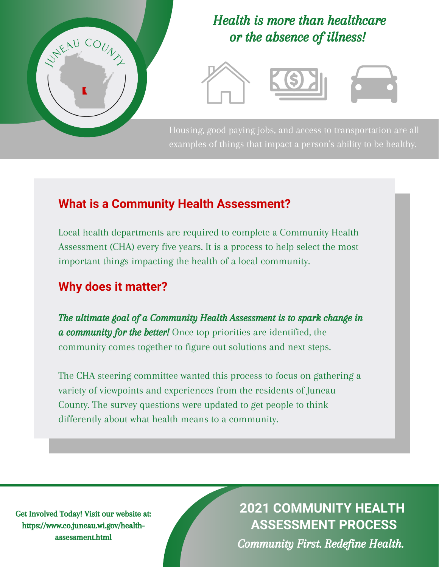

### Health is more than healthcare or the absence of illness!



Housing, good paying jobs, and access to transportation are all examples of things that impact a person's ability to be healthy.

#### **What is a Community Health Assessment?**

Local health departments are required to complete a Community Health Assessment (CHA) every five years. It is a process to help select the most important things impacting the health of a local community.

#### **Why does it matter?**

The ultimate goal of a Community Health Assessment is to spark change in a community for the better! Once top priorities are identified, the community comes together to figure out solutions and next steps.

The CHA steering committee wanted this process to focus on gathering a variety of viewpoints and experiences from the residents of Juneau County. The survey questions were updated to get people to think differently about what health means to a community.

Get Involved Today! Visit our website at: https://www.co.juneau.wi.gov/healthassessment.html

**2021 COMMUNITY HEALTH ASSESSMENT PROCESS**

Community First. Redefine Health.